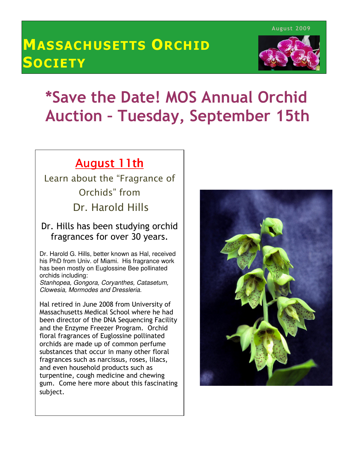# MASSACHUSETTS ORCHID **SOCIETY**



## $\overline{\phantom{a}}$  Auction – Tuesday, September 15th \*Save the Date! MOS Annual Orchid

# August 11th

Learn about the "Fragrance of Orchids" from Dr. Harold Hills

#### Dr. Hills has been studying orchid fragrances for over 30 years.

Dr. Harold G. Hills, better known as Hal, received his PhD from Univ. of Miami. His fragrance work has been mostly on Euglossine Bee pollinated orchids including:

Stanhopea, Gongora, Coryanthes, Catasetum, Clowesia, Mormodes and Dressleria.

Hal retired in June 2008 from University of Massachusetts Medical School where he had been director of the DNA Sequencing Facility and the Enzyme Freezer Program. Orchid floral fragrances of Euglossine pollinated orchids are made up of common perfume substances that occur in many other floral fragrances such as narcissus, roses, lilacs, and even household products such as turpentine, cough medicine and chewing gum. Come here more about this fascinating subject.

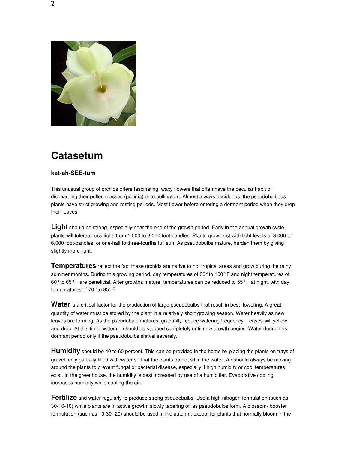

#### **Catasetum**

#### **kat-ah-SEE-tum**

This unusual group of orchids offers fascinating, waxy flowers that often have the peculiar habit of discharging their pollen masses (pollinia) onto pollinators. Almost always deciduous, the pseudobulbous plants have strict growing and resting periods. Most flower before entering a dormant period when they drop their leaves.

Light should be strong, especially near the end of the growth period. Early in the annual growth cycle, plants will tolerate less light, from 1,500 to 3,000 foot-candles. Plants grow best with light levels of 3,000 to 6,000 foot-candles, or one-half to three-fourths full sun. As pseudobulbs mature, harden them by giving slightly more light.

**Temperatures** reflect the fact these orchids are native to hot tropical areas and grow during the rainy summer months. During this growing period, day temperatures of 80° to 100° F and night temperatures of 60° to 65° F are beneficial. After growths mature, temperatures can be reduced to 55° F at night, with day temperatures of 70° to 85° F.

Water is a critical factor for the production of large pseudobulbs that result in best flowering. A great quantity of water must be stored by the plant in a relatively short growing season. Water heavily as new leaves are forming. As the pseudobulb matures, gradually reduce watering frequency. Leaves will yellow and drop. At this time, watering should be stopped completely until new growth begins. Water during this dormant period only if the pseudobulbs shrivel severely.

**Humidity** should be 40 to 60 percent. This can be provided in the home by placing the plants on trays of gravel, only partially filled with water so that the plants do not sit in the water. Air should always be moving around the plants to prevent fungal or bacterial disease, especially if high humidity or cool temperatures exist. In the greenhouse, the humidity is best increased by use of a humidifier. Evaporative cooling increases humidity while cooling the air.

**Fertilize** and water regularly to produce strong pseudobulbs. Use a high nitrogen formulation (such as 30-10-10) while plants are in active growth, slowly tapering off as pseudobulbs form. A blossom- booster formulation (such as 10-30- 20) should be used in the autumn, except for plants that normally bloom in the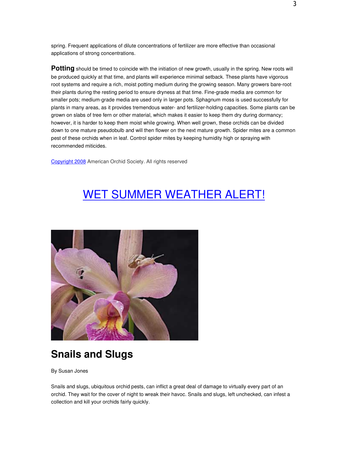spring. Frequent applications of dilute concentrations of fertilizer are more effective than occasional applications of strong concentrations.

**Potting** should be timed to coincide with the initiation of new growth, usually in the spring. New roots will be produced quickly at that time, and plants will experience minimal setback. These plants have vigorous root systems and require a rich, moist potting medium during the growing season. Many growers bare-root their plants during the resting period to ensure dryness at that time. Fine-grade media are common for smaller pots; medium-grade media are used only in larger pots. Sphagnum moss is used successfully for plants in many areas, as it provides tremendous water- and fertilizer-holding capacities. Some plants can be grown on slabs of tree fern or other material, which makes it easier to keep them dry during dormancy; however, it is harder to keep them moist while growing. When well grown, these orchids can be divided down to one mature pseudobulb and will then flower on the next mature growth. Spider mites are a common pest of these orchids when in leaf. Control spider mites by keeping humidity high or spraying with recommended miticides.

Copyright 2008 American Orchid Society. All rights reserved

# WET SUMMER WEATHER ALERT!



## **Snails and Slugs**

By Susan Jones

Snails and slugs, ubiquitous orchid pests, can inflict a great deal of damage to virtually every part of an orchid. They wait for the cover of night to wreak their havoc. Snails and slugs, left unchecked, can infest a collection and kill your orchids fairly quickly.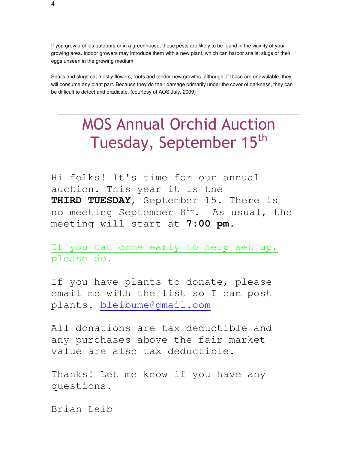If you grow orchids outdoors or in a greenhouse, these pests are likely to be found in the vicinity of your growing area. Indoor growers may introduce them with a new plant, which can harbor snails, slugs or their eggs unseen in the growing medium.

Snails and slugs eat mostly flowers, roots and tender new growths, although, if those are unavailable, they will consume any plant part. Because they do their damage primarily under the cover of darkness, they can be difficult to detect and eradicate. (courtesy of AOS July, 2009)

# MOS Annual Orchid Auction Tuesday, September 15<sup>th</sup>

Hi folks! It's time for our annual auction. This year it is the **THIRD TUESDAY**, September 15. There is no meeting September  $8<sup>th</sup>$ . As usual, the meeting will start at **7:00 pm**.

If you can come early to help set up, please do.

If you have plants to donate, please email me with the list so I can post plants. bleibume@gmail.com

All donations are tax deductible and any purchases above the fair market value are also tax deductible.

Thanks! Let me know if you have any questions.

Brian Leib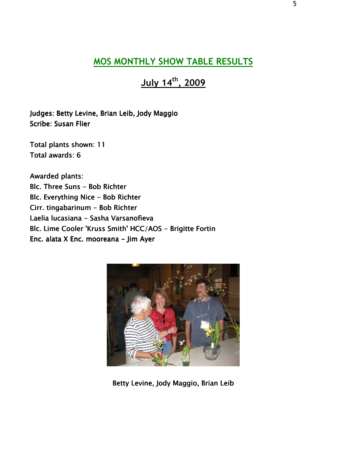#### MOS MONTHLY SHOW TABLE RESULTS

July 14<sup>th</sup>, 2009

Judges: Betty Levine, Brian Leib, Jody Maggio Scribe: Susan Flier

Total plants shown: 11 Total awards: 6

Ĭ Awarded plants: Blc. Three Suns - Bob Richter Blc. Everything Nice - Bob Richter Cirr. tingabarinum - Bob Richter Laelia lucasiana - Sasha Varsanofieva Blc. Lime Cooler 'Kruss Smith' HCC/AOS - Brigitte Fortin Enc. alata X Enc. mooreana - Jim Ayer



Betty Levine, Jody Maggio, Brian Leib